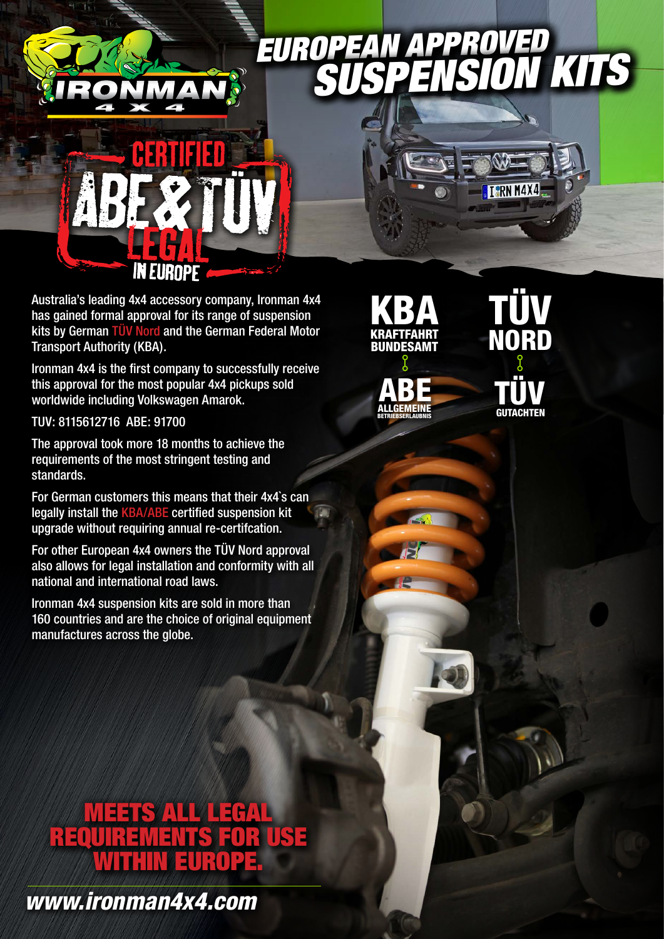## *EUROPEAN SUSPENSION KITS*



Australia's leading 4x4 accessory company, Ironman 4x4 has gained formal approval for its range of suspension kits by German TÜV Nord and the German Federal Motor Transport Authority (KBA).

Ironman 4x4 is the first company to successfully receive this approval for the most popular 4x4 pickups sold worldwide including Volkswagen Amarok.

TUV: 8115612716 ABE: 91700

The approval took more 18 months to achieve the requirements of the most stringent testing and standards.

For German customers this means that their 4x4`s can legally install the KBA/ABE certified suspension kit upgrade without requiring annual re-certifcation.

For other European 4x4 owners the TÜV Nord approval also allows for legal installation and conformity with all national and international road laws.

Ironman 4x4 suspension kits are sold in more than 160 countries and are the choice of original equipment manufactures across the globe.





TÜV NORD TÜV **GUTACHTEN** 

TORN M4X4

## **EETS ALL LEGAL LEGAL** REQUIREMENTS FOR USE WITHIN EUROPE.

*www.ironman4x4.com*